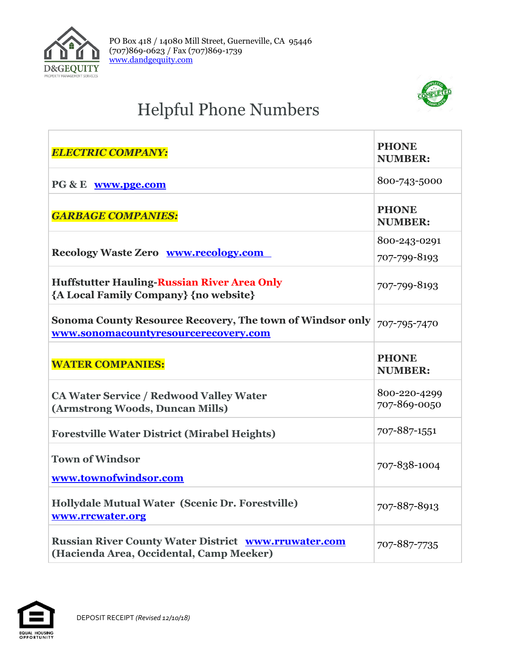



## Helpful Phone Numbers

| <b>ELECTRIC COMPANY:</b>                                                                          | <b>PHONE</b><br><b>NUMBER:</b> |
|---------------------------------------------------------------------------------------------------|--------------------------------|
| PG & E www.pge.com                                                                                | 800-743-5000                   |
| <b>GARBAGE COMPANIES:</b>                                                                         | <b>PHONE</b><br><b>NUMBER:</b> |
|                                                                                                   | 800-243-0291                   |
| Recology Waste Zero www.recology.com                                                              | 707-799-8193                   |
| <b>Huffstutter Hauling-Russian River Area Only</b><br>{A Local Family Company} {no website}       | 707-799-8193                   |
| Sonoma County Resource Recovery, The town of Windsor only<br>www.sonomacountyresourcerecovery.com | 707-795-7470                   |
|                                                                                                   |                                |
| <b>WATER COMPANIES:</b>                                                                           | <b>PHONE</b><br><b>NUMBER:</b> |
| <b>CA Water Service / Redwood Valley Water</b><br>(Armstrong Woods, Duncan Mills)                 | 800-220-4299<br>707-869-0050   |
| <b>Forestville Water District (Mirabel Heights)</b>                                               | 707-887-1551                   |
| <b>Town of Windsor</b><br>www.townofwindsor.com                                                   | 707-838-1004                   |
| Hollydale Mutual Water (Scenic Dr. Forestville)<br>www.rrcwater.org                               | 707-887-8913                   |

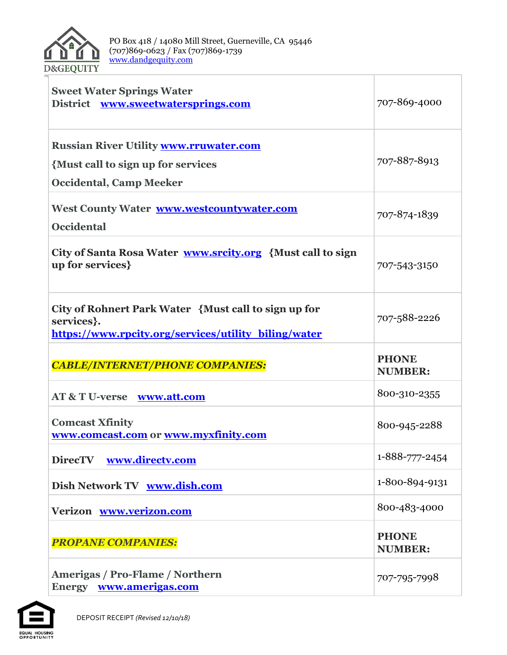

т

| <b>Sweet Water Springs Water</b><br>District www.sweetwatersprings.com                                                      | 707-869-4000                   |
|-----------------------------------------------------------------------------------------------------------------------------|--------------------------------|
| <b>Russian River Utility www.rruwater.com</b><br>{Must call to sign up for services<br><b>Occidental, Camp Meeker</b>       | 707-887-8913                   |
| West County Water www.westcountywater.com<br><b>Occidental</b>                                                              | 707-874-1839                   |
| City of Santa Rosa Water www.srcity.org {Must call to sign<br>up for services }                                             | 707-543-3150                   |
| City of Rohnert Park Water {Must call to sign up for<br>services }.<br>https://www.rpcity.org/services/utility biling/water | 707-588-2226                   |
| <b>CABLE/INTERNET/PHONE COMPANIES:</b>                                                                                      | <b>PHONE</b><br><b>NUMBER:</b> |
| AT & T U-verse www.att.com                                                                                                  | 800-310-2355                   |
| <b>Comcast Xfinity</b><br>www.comcast.com or www.myxfinity.com                                                              | 800-945-2288                   |
| DirecTV www.directv.com                                                                                                     | 1-888-777-2454                 |
| Dish Network TV www.dish.com                                                                                                | 1-800-894-9131                 |
| Verizon www.verizon.com                                                                                                     | 800-483-4000                   |
| <b>PROPANE COMPANIES:</b>                                                                                                   | <b>PHONE</b><br><b>NUMBER:</b> |
| Amerigas / Pro-Flame / Northern<br>Energy www.amerigas.com                                                                  | 707-795-7998                   |